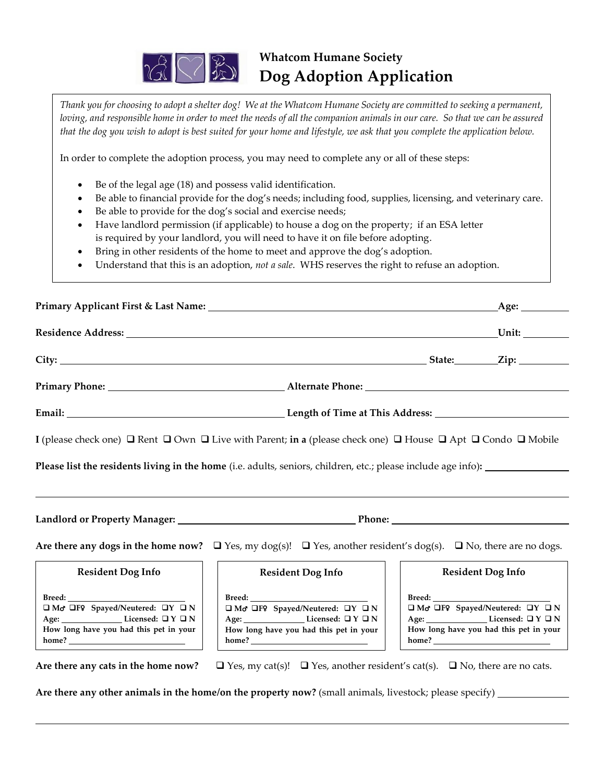

## **Whatcom Humane Society Dog Adoption Application**

*Thank you for choosing to adopt a shelter dog! We at the Whatcom Humane Society are committed to seeking a permanent, loving, and responsible home in order to meet the needs of all the companion animals in our care. So that we can be assured that the dog you wish to adopt is best suited for your home and lifestyle, we ask that you complete the application below.*

In order to complete the adoption process, you may need to complete any or all of these steps:

- Be of the legal age (18) and possess valid identification.
- Be able to financial provide for the dog's needs; including food, supplies, licensing, and veterinary care.
- Be able to provide for the dog's social and exercise needs;
- Have landlord permission (if applicable) to house a dog on the property; if an ESA letter is required by your landlord, you will need to have it on file before adopting.
- Bring in other residents of the home to meet and approve the dog's adoption.
- Understand that this is an adoption, *not a sale*. WHS reserves the right to refuse an adoption.

|                                                                                                                                                                                                             |                                                                                                                                                                                                                                |                           | _Age: ___________                                                                                                                                                                                                                                                                                                                                                                                                                                                      |  |
|-------------------------------------------------------------------------------------------------------------------------------------------------------------------------------------------------------------|--------------------------------------------------------------------------------------------------------------------------------------------------------------------------------------------------------------------------------|---------------------------|------------------------------------------------------------------------------------------------------------------------------------------------------------------------------------------------------------------------------------------------------------------------------------------------------------------------------------------------------------------------------------------------------------------------------------------------------------------------|--|
|                                                                                                                                                                                                             |                                                                                                                                                                                                                                |                           |                                                                                                                                                                                                                                                                                                                                                                                                                                                                        |  |
|                                                                                                                                                                                                             |                                                                                                                                                                                                                                |                           |                                                                                                                                                                                                                                                                                                                                                                                                                                                                        |  |
|                                                                                                                                                                                                             |                                                                                                                                                                                                                                |                           |                                                                                                                                                                                                                                                                                                                                                                                                                                                                        |  |
|                                                                                                                                                                                                             |                                                                                                                                                                                                                                |                           |                                                                                                                                                                                                                                                                                                                                                                                                                                                                        |  |
|                                                                                                                                                                                                             | I (please check one) $\Box$ Rent $\Box$ Own $\Box$ Live with Parent; in a (please check one) $\Box$ House $\Box$ Apt $\Box$ Condo $\Box$ Mobile                                                                                |                           |                                                                                                                                                                                                                                                                                                                                                                                                                                                                        |  |
|                                                                                                                                                                                                             | Please list the residents living in the home (i.e. adults, seniors, children, etc.; please include age info):                                                                                                                  |                           |                                                                                                                                                                                                                                                                                                                                                                                                                                                                        |  |
|                                                                                                                                                                                                             |                                                                                                                                                                                                                                |                           |                                                                                                                                                                                                                                                                                                                                                                                                                                                                        |  |
|                                                                                                                                                                                                             |                                                                                                                                                                                                                                |                           |                                                                                                                                                                                                                                                                                                                                                                                                                                                                        |  |
|                                                                                                                                                                                                             | Are there any dogs in the home now? $\Box$ Yes, my dog(s)! $\Box$ Yes, another resident's dog(s). $\Box$ No, there are no dogs.                                                                                                |                           |                                                                                                                                                                                                                                                                                                                                                                                                                                                                        |  |
| <b>Resident Dog Info</b>                                                                                                                                                                                    | <b>Resident Dog Info</b>                                                                                                                                                                                                       |                           | <b>Resident Dog Info</b>                                                                                                                                                                                                                                                                                                                                                                                                                                               |  |
| $\pmb{\text{Breed:}\_\_}$<br>$\Box$ Mo <sup>+</sup> $\Box$ F <sup>2</sup> Spayed/Neutered: $\Box$ Y $\Box$ N<br>Age: $\sqrt{ }$ Licensed: $\sqrt{ }$ $\sqrt{ }$ N<br>How long have you had this pet in your | $\pmb{\text{Breed:}\_\_}$<br>$\Box$ Mo <sup>-</sup> $\Box$ F9 Spayed/Neutered: $\Box$ Y $\Box$ N<br>Age: $\sqrt{ }$ Licensed: $\sqrt{ }$ $\sqrt{ }$ $\sqrt{ }$ $\sqrt{ }$ $\sqrt{ }$<br>How long have you had this pet in your | $\pmb{\text{Breed:}\_\_}$ | $\Box$ Mo <sup>t</sup> $\Box$ F9 Spayed/Neutered: $\Box$ Y $\Box$ N<br>Age: $\sqrt{ }$ Licensed: $\sqrt{ }$ $\sqrt{ }$ $\sqrt{ }$ $\sqrt{ }$ $\sqrt{ }$ $\sqrt{ }$ $\sqrt{ }$ $\sqrt{ }$ $\sqrt{ }$ $\sqrt{ }$ $\sqrt{ }$ $\sqrt{ }$ $\sqrt{ }$ $\sqrt{ }$ $\sqrt{ }$ $\sqrt{ }$ $\sqrt{ }$ $\sqrt{ }$ $\sqrt{ }$ $\sqrt{ }$ $\sqrt{ }$ $\sqrt{ }$ $\sqrt{ }$ $\sqrt{ }$ $\sqrt{ }$ $\sqrt{ }$ $\sqrt{ }$ $\sqrt{ }$ $\sqrt$<br>How long have you had this pet in your |  |
| Are there any cats in the home now?                                                                                                                                                                         | $\Box$ Yes, my cat(s)! $\Box$ Yes, another resident's cat(s). $\Box$ No, there are no cats.                                                                                                                                    |                           |                                                                                                                                                                                                                                                                                                                                                                                                                                                                        |  |
|                                                                                                                                                                                                             | Are there any other animals in the home/on the property now? (small animals, livestock; please specify) ____________                                                                                                           |                           |                                                                                                                                                                                                                                                                                                                                                                                                                                                                        |  |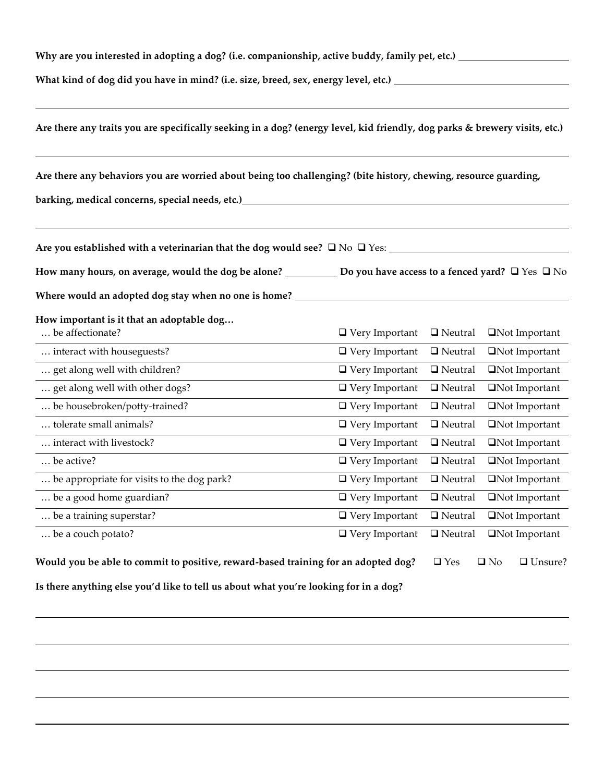| Why are you interested in adopting a dog? (i.e. companionship, active buddy, family pet, etc.) _                                                                                                                               |                                        |                                 |                        |  |  |  |
|--------------------------------------------------------------------------------------------------------------------------------------------------------------------------------------------------------------------------------|----------------------------------------|---------------------------------|------------------------|--|--|--|
| What kind of dog did you have in mind? (i.e. size, breed, sex, energy level, etc.) _________________                                                                                                                           |                                        |                                 |                        |  |  |  |
| Are there any traits you are specifically seeking in a dog? (energy level, kid friendly, dog parks & brewery visits, etc.)                                                                                                     |                                        |                                 |                        |  |  |  |
| Are there any behaviors you are worried about being too challenging? (bite history, chewing, resource guarding,                                                                                                                |                                        |                                 |                        |  |  |  |
| barking, medical concerns, special needs, etc.) http://www.com/solonguageness.com/solonguageness.com/solonguageness.com/solonguageness.com/solonguageness.com/solonguageness.com/solonguageness.com/solonguageness.com/solongu |                                        |                                 |                        |  |  |  |
|                                                                                                                                                                                                                                |                                        |                                 |                        |  |  |  |
| How many hours, on average, would the dog be alone? ___________ Do you have access to a fenced yard? $\Box$ Yes $\Box$ No                                                                                                      |                                        |                                 |                        |  |  |  |
| Where would an adopted dog stay when no one is home?                                                                                                                                                                           |                                        |                                 |                        |  |  |  |
| How important is it that an adoptable dog                                                                                                                                                                                      |                                        |                                 |                        |  |  |  |
| be affectionate?                                                                                                                                                                                                               | $\Box$ Very Important                  | $\Box$ Neutral                  | <b>ON</b> ot Important |  |  |  |
| interact with houseguests?                                                                                                                                                                                                     | $\Box$ Very Important                  | $\Box$ Neutral                  | Not Important          |  |  |  |
| get along well with children?                                                                                                                                                                                                  | $\Box$ Very Important                  | $\hfill\blacksquare$<br>Neutral | □Not Important         |  |  |  |
| get along well with other dogs?                                                                                                                                                                                                | $\Box$ Very Important                  | $\hfill\blacksquare$<br>Neutral | Not Important          |  |  |  |
| be housebroken/potty-trained?                                                                                                                                                                                                  | $\Box$ Very Important                  | $\Box$ Neutral                  | □Not Important         |  |  |  |
| tolerate small animals?                                                                                                                                                                                                        | $\hfill\blacksquare$<br>Very Important | $\Box$ Neutral                  | □Not Important         |  |  |  |
| interact with livestock?                                                                                                                                                                                                       | $\Box$ Very Important                  | $\Box$ Neutral                  | □Not Important         |  |  |  |
| be active?                                                                                                                                                                                                                     | $\Box$ Very Important                  | $\Box$ Neutral                  | $\Box$ Not Important   |  |  |  |
| be appropriate for visits to the dog park?                                                                                                                                                                                     | $\Box$ Very Important                  | $\Box$ Neutral                  | <b>□</b> Not Important |  |  |  |

| be a couch potato?                                                                 | $\Box$ Very Important $\Box$ Neutral $\Box$ Not Important |                      |                |
|------------------------------------------------------------------------------------|-----------------------------------------------------------|----------------------|----------------|
| Would you be able to commit to positive, reward-based training for an adopted dog? |                                                           | $\Box$ Yes $\Box$ No | $\Box$ Unsure? |

… be a good home guardian? ❑ Very Important ❑ Neutral❑Not Important … be a training superstar? ❑ Very Important ❑ Neutral❑Not Important

**Is there anything else you'd like to tell us about what you're looking for in a dog?**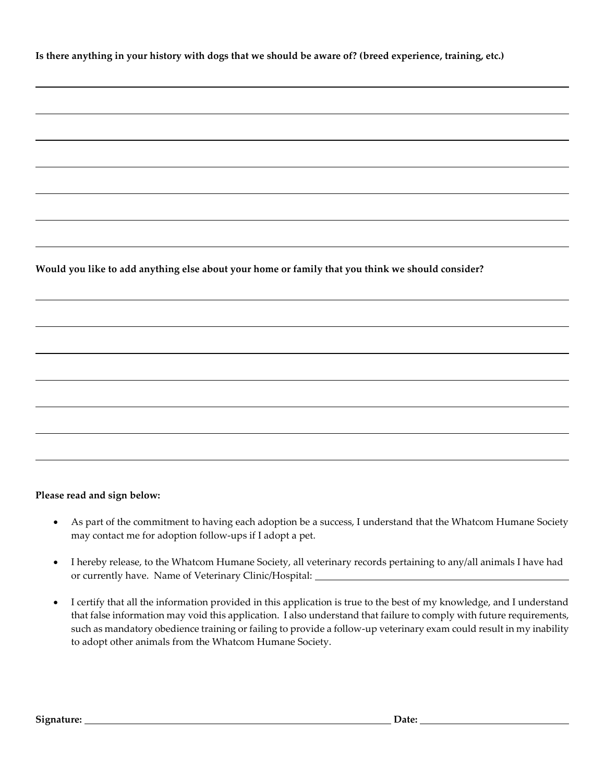**Is there anything in your history with dogs that we should be aware of? (breed experience, training, etc.)**

**Would you like to add anything else about your home or family that you think we should consider?**

## **Please read and sign below:**

- As part of the commitment to having each adoption be a success, I understand that the Whatcom Humane Society may contact me for adoption follow-ups if I adopt a pet.
- I hereby release, to the Whatcom Humane Society, all veterinary records pertaining to any/all animals I have had or currently have. Name of Veterinary Clinic/Hospital:
- I certify that all the information provided in this application is true to the best of my knowledge, and I understand that false information may void this application. I also understand that failure to comply with future requirements, such as mandatory obedience training or failing to provide a follow-up veterinary exam could result in my inability to adopt other animals from the Whatcom Humane Society.